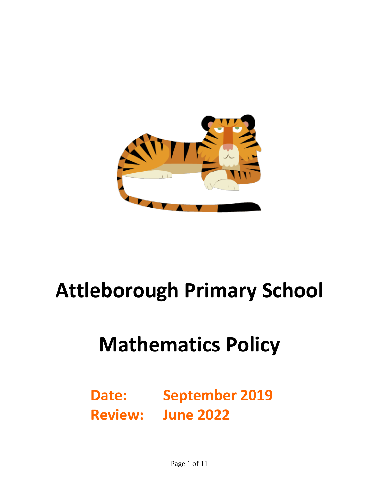

# **Attleborough Primary School**

# **Mathematics Policy**

**Date: September 2019 Review: June 2022**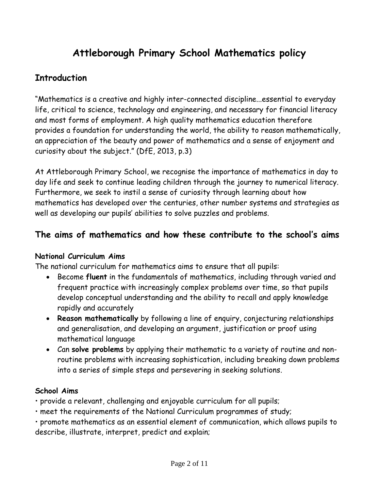# **Attleborough Primary School Mathematics policy**

# **Introduction**

"Mathematics is a creative and highly inter-connected discipline...essential to everyday life, critical to science, technology and engineering, and necessary for financial literacy and most forms of employment. A high quality mathematics education therefore provides a foundation for understanding the world, the ability to reason mathematically, an appreciation of the beauty and power of mathematics and a sense of enjoyment and curiosity about the subject." (DfE, 2013, p.3)

At Attleborough Primary School, we recognise the importance of mathematics in day to day life and seek to continue leading children through the journey to numerical literacy. Furthermore, we seek to instil a sense of curiosity through learning about how mathematics has developed over the centuries, other number systems and strategies as well as developing our pupils' abilities to solve puzzles and problems.

# **The aims of mathematics and how these contribute to the school's aims**

#### **National Curriculum Aims**

The national curriculum for mathematics aims to ensure that all pupils:

- Become **fluent** in the fundamentals of mathematics, including through varied and frequent practice with increasingly complex problems over time, so that pupils develop conceptual understanding and the ability to recall and apply knowledge rapidly and accurately
- **Reason mathematically** by following a line of enquiry, conjecturing relationships and generalisation, and developing an argument, justification or proof using mathematical language
- Can **solve problems** by applying their mathematic to a variety of routine and nonroutine problems with increasing sophistication, including breaking down problems into a series of simple steps and persevering in seeking solutions.

#### **School Aims**

• provide a relevant, challenging and enjoyable curriculum for all pupils;

• meet the requirements of the National Curriculum programmes of study;

• promote mathematics as an essential element of communication, which allows pupils to describe, illustrate, interpret, predict and explain;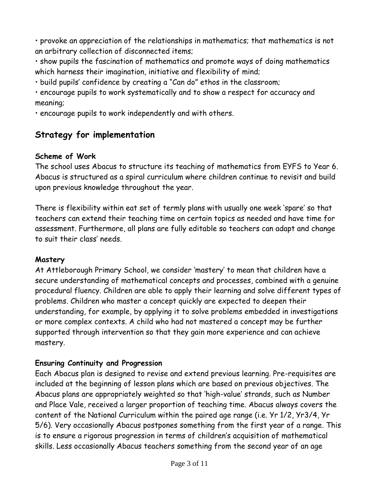• provoke an appreciation of the relationships in mathematics; that mathematics is not an arbitrary collection of disconnected items;

• show pupils the fascination of mathematics and promote ways of doing mathematics which harness their imagination, initiative and flexibility of mind;

• build pupils' confidence by creating a "Can do" ethos in the classroom;

• encourage pupils to work systematically and to show a respect for accuracy and meaning;

• encourage pupils to work independently and with others.

# **Strategy for implementation**

#### **Scheme of Work**

The school uses Abacus to structure its teaching of mathematics from EYFS to Year 6. Abacus is structured as a spiral curriculum where children continue to revisit and build upon previous knowledge throughout the year.

There is flexibility within eat set of termly plans with usually one week 'spare' so that teachers can extend their teaching time on certain topics as needed and have time for assessment. Furthermore, all plans are fully editable so teachers can adapt and change to suit their class' needs.

#### **Mastery**

At Attleborough Primary School, we consider 'mastery' to mean that children have a secure understanding of mathematical concepts and processes, combined with a genuine procedural fluency. Children are able to apply their learning and solve different types of problems. Children who master a concept quickly are expected to deepen their understanding, for example, by applying it to solve problems embedded in investigations or more complex contexts. A child who had not mastered a concept may be further supported through intervention so that they gain more experience and can achieve mastery.

## **Ensuring Continuity and Progression**

Each Abacus plan is designed to revise and extend previous learning. Pre-requisites are included at the beginning of lesson plans which are based on previous objectives. The Abacus plans are appropriately weighted so that 'high-value' strands, such as Number and Place Vale, received a larger proportion of teaching time. Abacus always covers the content of the National Curriculum within the paired age range (i.e. Yr 1/2, Yr3/4, Yr 5/6). Very occasionally Abacus postpones something from the first year of a range. This is to ensure a rigorous progression in terms of children's acquisition of mathematical skills. Less occasionally Abacus teachers something from the second year of an age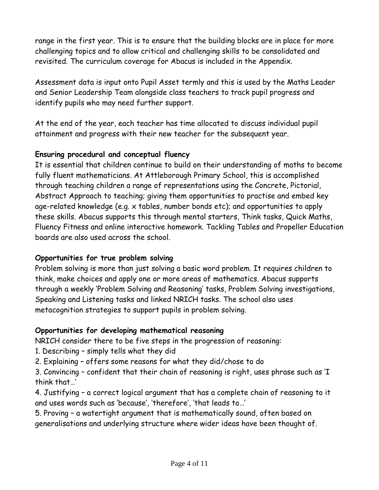range in the first year. This is to ensure that the building blocks are in place for more challenging topics and to allow critical and challenging skills to be consolidated and revisited. The curriculum coverage for Abacus is included in the Appendix.

Assessment data is input onto Pupil Asset termly and this is used by the Maths Leader and Senior Leadership Team alongside class teachers to track pupil progress and identify pupils who may need further support.

At the end of the year, each teacher has time allocated to discuss individual pupil attainment and progress with their new teacher for the subsequent year.

#### **Ensuring procedural and conceptual fluency**

It is essential that children continue to build on their understanding of maths to become fully fluent mathematicians. At Attleborough Primary School, this is accomplished through teaching children a range of representations using the Concrete, Pictorial, Abstract Approach to teaching; giving them opportunities to practise and embed key age-related knowledge (e.g. x tables, number bonds etc); and opportunities to apply these skills. Abacus supports this through mental starters, Think tasks, Quick Maths, Fluency Fitness and online interactive homework. Tackling Tables and Propeller Education boards are also used across the school.

#### **Opportunities for true problem solving**

Problem solving is more than just solving a basic word problem. It requires children to think, make choices and apply one or more areas of mathematics. Abacus supports through a weekly 'Problem Solving and Reasoning' tasks, Problem Solving investigations, Speaking and Listening tasks and linked NRICH tasks. The school also uses metacognition strategies to support pupils in problem solving.

#### **Opportunities for developing mathematical reasoning**

NRICH consider there to be five steps in the progression of reasoning:

- 1. Describing simply tells what they did
- 2. Explaining offers some reasons for what they did/chose to do

3. Convincing – confident that their chain of reasoning is right, uses phrase such as 'I think that…'

4. Justifying – a correct logical argument that has a complete chain of reasoning to it and uses words such as 'because', 'therefore', 'that leads to…'

5. Proving – a watertight argument that is mathematically sound, often based on generalisations and underlying structure where wider ideas have been thought of.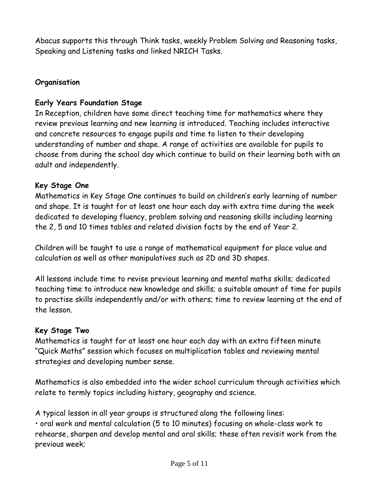Abacus supports this through Think tasks, weekly Problem Solving and Reasoning tasks, Speaking and Listening tasks and linked NRICH Tasks.

#### **Organisation**

#### **Early Years Foundation Stage**

In Reception, children have some direct teaching time for mathematics where they review previous learning and new learning is introduced. Teaching includes interactive and concrete resources to engage pupils and time to listen to their developing understanding of number and shape. A range of activities are available for pupils to choose from during the school day which continue to build on their learning both with an adult and independently.

#### **Key Stage One**

Mathematics in Key Stage One continues to build on children's early learning of number and shape. It is taught for at least one hour each day with extra time during the week dedicated to developing fluency, problem solving and reasoning skills including learning the 2, 5 and 10 times tables and related division facts by the end of Year 2.

Children will be taught to use a range of mathematical equipment for place value and calculation as well as other manipulatives such as 2D and 3D shapes.

All lessons include time to revise previous learning and mental maths skills; dedicated teaching time to introduce new knowledge and skills; a suitable amount of time for pupils to practise skills independently and/or with others; time to review learning at the end of the lesson.

#### **Key Stage Two**

Mathematics is taught for at least one hour each day with an extra fifteen minute "Quick Maths" session which focuses on multiplication tables and reviewing mental strategies and developing number sense.

Mathematics is also embedded into the wider school curriculum through activities which relate to termly topics including history, geography and science.

A typical lesson in all year groups is structured along the following lines: • oral work and mental calculation (5 to 10 minutes) focusing on whole-class work to rehearse, sharpen and develop mental and oral skills; these often revisit work from the previous week;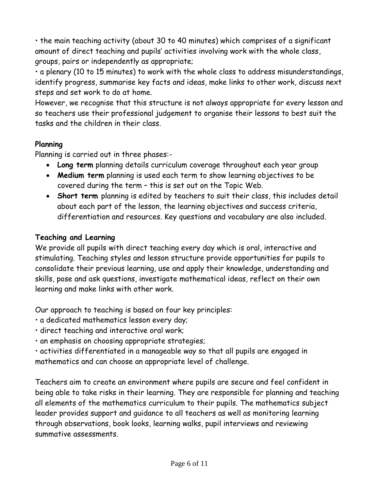• the main teaching activity (about 30 to 40 minutes) which comprises of a significant amount of direct teaching and pupils' activities involving work with the whole class, groups, pairs or independently as appropriate;

• a plenary (10 to 15 minutes) to work with the whole class to address misunderstandings, identify progress, summarise key facts and ideas, make links to other work, discuss next steps and set work to do at home.

However, we recognise that this structure is not always appropriate for every lesson and so teachers use their professional judgement to organise their lessons to best suit the tasks and the children in their class.

#### **Planning**

Planning is carried out in three phases:-

- **Long term** planning details curriculum coverage throughout each year group
- **Medium term** planning is used each term to show learning objectives to be covered during the term – this is set out on the Topic Web.
- **Short term** planning is edited by teachers to suit their class, this includes detail about each part of the lesson, the learning objectives and success criteria, differentiation and resources. Key questions and vocabulary are also included.

#### **Teaching and Learning**

We provide all pupils with direct teaching every day which is oral, interactive and stimulating. Teaching styles and lesson structure provide opportunities for pupils to consolidate their previous learning, use and apply their knowledge, understanding and skills, pose and ask questions, investigate mathematical ideas, reflect on their own learning and make links with other work.

Our approach to teaching is based on four key principles:

- a dedicated mathematics lesson every day;
- direct teaching and interactive oral work;
- an emphasis on choosing appropriate strategies;

• activities differentiated in a manageable way so that all pupils are engaged in mathematics and can choose an appropriate level of challenge.

Teachers aim to create an environment where pupils are secure and feel confident in being able to take risks in their learning. They are responsible for planning and teaching all elements of the mathematics curriculum to their pupils. The mathematics subject leader provides support and guidance to all teachers as well as monitoring learning through observations, book looks, learning walks, pupil interviews and reviewing summative assessments.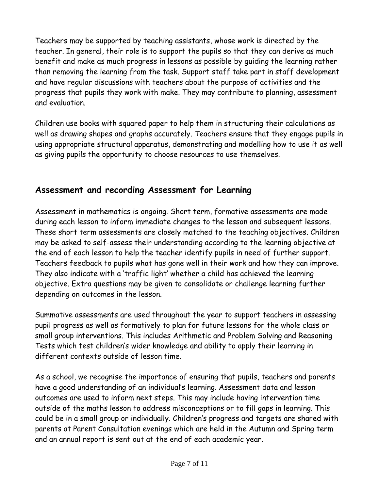Teachers may be supported by teaching assistants, whose work is directed by the teacher. In general, their role is to support the pupils so that they can derive as much benefit and make as much progress in lessons as possible by guiding the learning rather than removing the learning from the task. Support staff take part in staff development and have regular discussions with teachers about the purpose of activities and the progress that pupils they work with make. They may contribute to planning, assessment and evaluation.

Children use books with squared paper to help them in structuring their calculations as well as drawing shapes and graphs accurately. Teachers ensure that they engage pupils in using appropriate structural apparatus, demonstrating and modelling how to use it as well as giving pupils the opportunity to choose resources to use themselves.

# **Assessment and recording Assessment for Learning**

Assessment in mathematics is ongoing. Short term, formative assessments are made during each lesson to inform immediate changes to the lesson and subsequent lessons. These short term assessments are closely matched to the teaching objectives. Children may be asked to self-assess their understanding according to the learning objective at the end of each lesson to help the teacher identify pupils in need of further support. Teachers feedback to pupils what has gone well in their work and how they can improve. They also indicate with a 'traffic light' whether a child has achieved the learning objective. Extra questions may be given to consolidate or challenge learning further depending on outcomes in the lesson.

Summative assessments are used throughout the year to support teachers in assessing pupil progress as well as formatively to plan for future lessons for the whole class or small group interventions. This includes Arithmetic and Problem Solving and Reasoning Tests which test children's wider knowledge and ability to apply their learning in different contexts outside of lesson time.

As a school, we recognise the importance of ensuring that pupils, teachers and parents have a good understanding of an individual's learning. Assessment data and lesson outcomes are used to inform next steps. This may include having intervention time outside of the maths lesson to address misconceptions or to fill gaps in learning. This could be in a small group or individually. Children's progress and targets are shared with parents at Parent Consultation evenings which are held in the Autumn and Spring term and an annual report is sent out at the end of each academic year.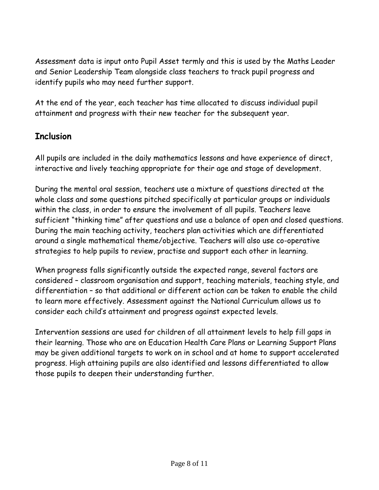Assessment data is input onto Pupil Asset termly and this is used by the Maths Leader and Senior Leadership Team alongside class teachers to track pupil progress and identify pupils who may need further support.

At the end of the year, each teacher has time allocated to discuss individual pupil attainment and progress with their new teacher for the subsequent year.

# **Inclusion**

All pupils are included in the daily mathematics lessons and have experience of direct, interactive and lively teaching appropriate for their age and stage of development.

During the mental oral session, teachers use a mixture of questions directed at the whole class and some questions pitched specifically at particular groups or individuals within the class, in order to ensure the involvement of all pupils. Teachers leave sufficient "thinking time" after questions and use a balance of open and closed questions. During the main teaching activity, teachers plan activities which are differentiated around a single mathematical theme/objective. Teachers will also use co-operative strategies to help pupils to review, practise and support each other in learning.

When progress falls significantly outside the expected range, several factors are considered – classroom organisation and support, teaching materials, teaching style, and differentiation – so that additional or different action can be taken to enable the child to learn more effectively. Assessment against the National Curriculum allows us to consider each child's attainment and progress against expected levels.

Intervention sessions are used for children of all attainment levels to help fill gaps in their learning. Those who are on Education Health Care Plans or Learning Support Plans may be given additional targets to work on in school and at home to support accelerated progress. High attaining pupils are also identified and lessons differentiated to allow those pupils to deepen their understanding further.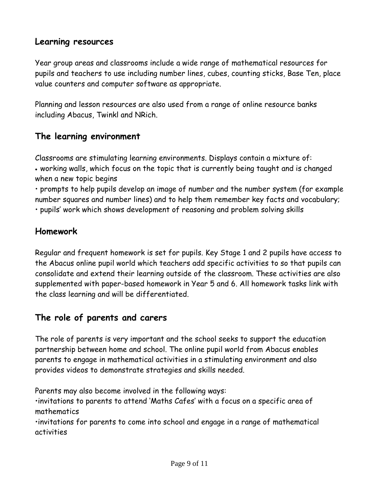# **Learning resources**

Year group areas and classrooms include a wide range of mathematical resources for pupils and teachers to use including number lines, cubes, counting sticks, Base Ten, place value counters and computer software as appropriate.

Planning and lesson resources are also used from a range of online resource banks including Abacus, Twinkl and NRich.

# **The learning environment**

Classrooms are stimulating learning environments. Displays contain a mixture of: working walls, which focus on the topic that is currently being taught and is changed when a new topic begins

• prompts to help pupils develop an image of number and the number system (for example number squares and number lines) and to help them remember key facts and vocabulary;

• pupils' work which shows development of reasoning and problem solving skills

## **Homework**

Regular and frequent homework is set for pupils. Key Stage 1 and 2 pupils have access to the Abacus online pupil world which teachers add specific activities to so that pupils can consolidate and extend their learning outside of the classroom. These activities are also supplemented with paper-based homework in Year 5 and 6. All homework tasks link with the class learning and will be differentiated.

## **The role of parents and carers**

The role of parents is very important and the school seeks to support the education partnership between home and school. The online pupil world from Abacus enables parents to engage in mathematical activities in a stimulating environment and also provides videos to demonstrate strategies and skills needed.

Parents may also become involved in the following ways:

•invitations to parents to attend 'Maths Cafes' with a focus on a specific area of mathematics

•invitations for parents to come into school and engage in a range of mathematical activities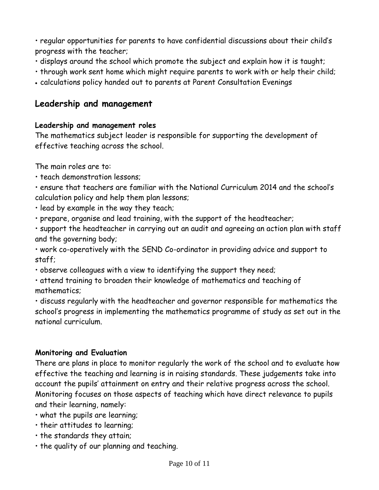• regular opportunities for parents to have confidential discussions about their child's progress with the teacher;

- displays around the school which promote the subject and explain how it is taught;
- through work sent home which might require parents to work with or help their child;
- calculations policy handed out to parents at Parent Consultation Evenings

# **Leadership and management**

#### **Leadership and management roles**

The mathematics subject leader is responsible for supporting the development of effective teaching across the school.

The main roles are to:

• teach demonstration lessons;

• ensure that teachers are familiar with the National Curriculum 2014 and the school's calculation policy and help them plan lessons;

- lead by example in the way they teach;
- prepare, organise and lead training, with the support of the headteacher;

• support the headteacher in carrying out an audit and agreeing an action plan with staff and the governing body;

• work co-operatively with the SEND Co-ordinator in providing advice and support to staff;

• observe colleagues with a view to identifying the support they need;

• attend training to broaden their knowledge of mathematics and teaching of mathematics;

• discuss regularly with the headteacher and governor responsible for mathematics the school's progress in implementing the mathematics programme of study as set out in the national curriculum.

#### **Monitoring and Evaluation**

There are plans in place to monitor regularly the work of the school and to evaluate how effective the teaching and learning is in raising standards. These judgements take into account the pupils' attainment on entry and their relative progress across the school. Monitoring focuses on those aspects of teaching which have direct relevance to pupils and their learning, namely:

- what the pupils are learning;
- their attitudes to learning;
- the standards they attain;
- the quality of our planning and teaching.